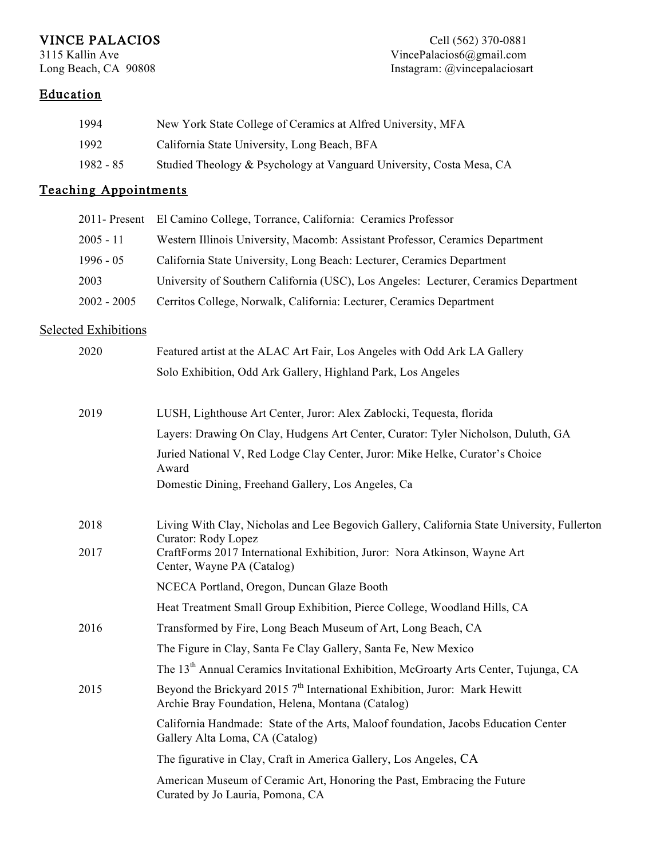VINCE PALACIOS<br>
3115 Kallin Ave Cell (562) 370-0881<br>
VincePalacios6@gmail.com 3115 Kallin Ave VincePalacios6@gmail.com Instagram: @vincepalaciosart

# Education

| 1994      | New York State College of Ceramics at Alfred University, MFA         |
|-----------|----------------------------------------------------------------------|
| 1992      | California State University, Long Beach, BFA                         |
| 1982 - 85 | Studied Theology & Psychology at Vanguard University, Costa Mesa, CA |

# Teaching Appointments

|               | 2011- Present El Camino College, Torrance, California: Ceramics Professor           |
|---------------|-------------------------------------------------------------------------------------|
| $2005 - 11$   | Western Illinois University, Macomb: Assistant Professor, Ceramics Department       |
| $1996 - 05$   | California State University, Long Beach: Lecturer, Ceramics Department              |
| 2003          | University of Southern California (USC), Los Angeles: Lecturer, Ceramics Department |
| $2002 - 2005$ | Cerritos College, Norwalk, California: Lecturer, Ceramics Department                |
|               |                                                                                     |

### Selected Exhibitions

| 2020 | Featured artist at the ALAC Art Fair, Los Angeles with Odd Ark LA Gallery                                                         |
|------|-----------------------------------------------------------------------------------------------------------------------------------|
|      | Solo Exhibition, Odd Ark Gallery, Highland Park, Los Angeles                                                                      |
| 2019 | LUSH, Lighthouse Art Center, Juror: Alex Zablocki, Tequesta, florida                                                              |
|      | Layers: Drawing On Clay, Hudgens Art Center, Curator: Tyler Nicholson, Duluth, GA                                                 |
|      | Juried National V, Red Lodge Clay Center, Juror: Mike Helke, Curator's Choice<br>Award                                            |
|      | Domestic Dining, Freehand Gallery, Los Angeles, Ca                                                                                |
| 2018 | Living With Clay, Nicholas and Lee Begovich Gallery, California State University, Fullerton<br>Curator: Rody Lopez                |
| 2017 | CraftForms 2017 International Exhibition, Juror: Nora Atkinson, Wayne Art<br>Center, Wayne PA (Catalog)                           |
|      | NCECA Portland, Oregon, Duncan Glaze Booth                                                                                        |
|      | Heat Treatment Small Group Exhibition, Pierce College, Woodland Hills, CA                                                         |
| 2016 | Transformed by Fire, Long Beach Museum of Art, Long Beach, CA                                                                     |
|      | The Figure in Clay, Santa Fe Clay Gallery, Santa Fe, New Mexico                                                                   |
|      | The 13 <sup>th</sup> Annual Ceramics Invitational Exhibition, McGroarty Arts Center, Tujunga, CA                                  |
| 2015 | Beyond the Brickyard 2015 $7th$ International Exhibition, Juror: Mark Hewitt<br>Archie Bray Foundation, Helena, Montana (Catalog) |
|      | California Handmade: State of the Arts, Maloof foundation, Jacobs Education Center<br>Gallery Alta Loma, CA (Catalog)             |
|      | The figurative in Clay, Craft in America Gallery, Los Angeles, CA                                                                 |
|      | American Museum of Ceramic Art, Honoring the Past, Embracing the Future<br>Curated by Jo Lauria, Pomona, CA                       |
|      |                                                                                                                                   |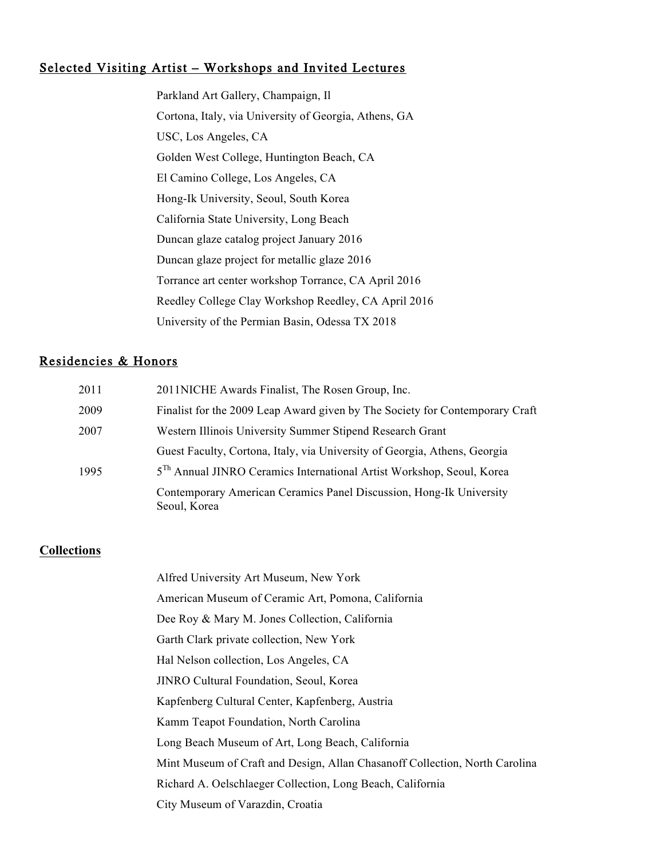## Selected Visiting Artist – Workshops and Invited Lectures

Parkland Art Gallery, Champaign, Il Cortona, Italy, via University of Georgia, Athens, GA USC, Los Angeles, CA Golden West College, Huntington Beach, CA El Camino College, Los Angeles, CA Hong-Ik University, Seoul, South Korea California State University, Long Beach Duncan glaze catalog project January 2016 Duncan glaze project for metallic glaze 2016 Torrance art center workshop Torrance, CA April 2016 Reedley College Clay Workshop Reedley, CA April 2016 University of the Permian Basin, Odessa TX 2018

## Residencies & Honors

| 2011 | 2011NICHE Awards Finalist, The Rosen Group, Inc.                                    |
|------|-------------------------------------------------------------------------------------|
| 2009 | Finalist for the 2009 Leap Award given by The Society for Contemporary Craft        |
| 2007 | Western Illinois University Summer Stipend Research Grant                           |
|      | Guest Faculty, Cortona, Italy, via University of Georgia, Athens, Georgia           |
| 1995 | 5 <sup>Th</sup> Annual JINRO Ceramics International Artist Workshop, Seoul, Korea   |
|      | Contemporary American Ceramics Panel Discussion, Hong-Ik University<br>Seoul, Korea |

#### **Collections**

| Alfred University Art Museum, New York                                      |
|-----------------------------------------------------------------------------|
| American Museum of Ceramic Art, Pomona, California                          |
| Dee Roy & Mary M. Jones Collection, California                              |
| Garth Clark private collection, New York                                    |
| Hal Nelson collection, Los Angeles, CA                                      |
| JINRO Cultural Foundation, Seoul, Korea                                     |
| Kapfenberg Cultural Center, Kapfenberg, Austria                             |
| Kamm Teapot Foundation, North Carolina                                      |
| Long Beach Museum of Art, Long Beach, California                            |
| Mint Museum of Craft and Design, Allan Chasanoff Collection, North Carolina |
| Richard A. Oelschlaeger Collection, Long Beach, California                  |
| City Museum of Varazdin, Croatia                                            |